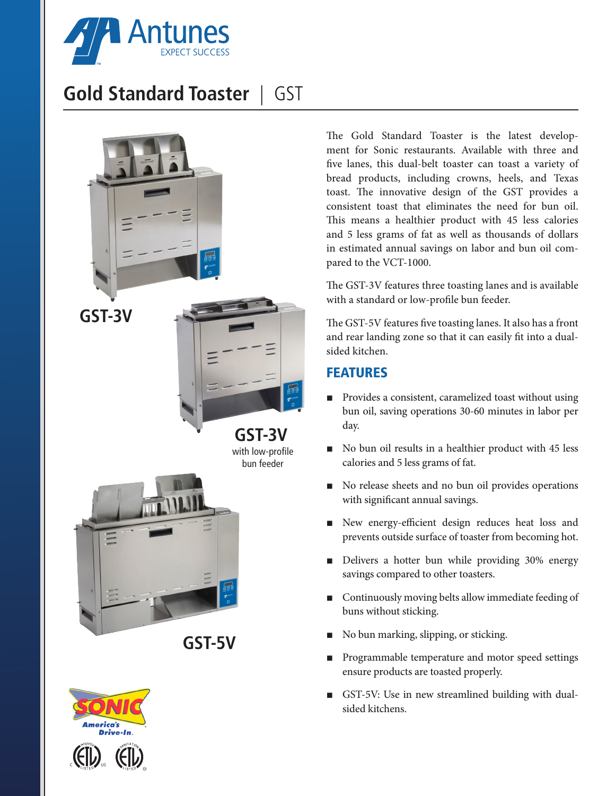

# **Gold Standard Toaster** | GST





 $\iota_{\mathit{IST}}$ E D

 $\iota_{IST}$ E D

EE۱

 $4s$ 

The Gold Standard Toaster is the latest development for Sonic restaurants. Available with three and five lanes, this dual-belt toaster can toast a variety of bread products, including crowns, heels, and Texas toast. The innovative design of the GST provides a consistent toast that eliminates the need for bun oil. This means a healthier product with 45 less calories and 5 less grams of fat as well as thousands of dollars in estimated annual savings on labor and bun oil compared to the VCT-1000.

The GST-3V features three toasting lanes and is available with a standard or low-profile bun feeder.

The GST-5V features five toasting lanes. It also has a front and rear landing zone so that it can easily fit into a dualsided kitchen.

## FEATURES

- Provides a consistent, caramelized toast without using bun oil, saving operations 30-60 minutes in labor per day.
- No bun oil results in a healthier product with 45 less calories and 5 less grams of fat.
- No release sheets and no bun oil provides operations with significant annual savings.
- New energy-efficient design reduces heat loss and prevents outside surface of toaster from becoming hot.
- Delivers a hotter bun while providing 30% energy savings compared to other toasters.
- Continuously moving belts allow immediate feeding of buns without sticking.
- No bun marking, slipping, or sticking.
- Programmable temperature and motor speed settings ensure products are toasted properly.
- GST-5V: Use in new streamlined building with dualsided kitchens.